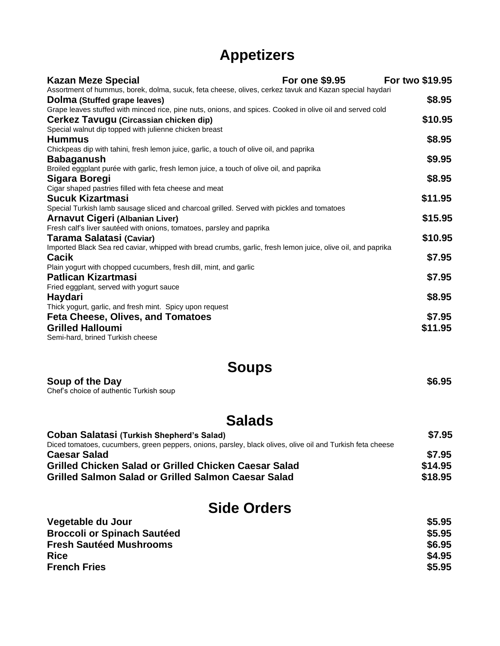## **Appetizers**

| <b>Kazan Meze Special</b>                                                                                   | <b>For one \$9.95</b> | For two \$19.95 |
|-------------------------------------------------------------------------------------------------------------|-----------------------|-----------------|
| Assortment of hummus, borek, dolma, sucuk, feta cheese, olives, cerkez tavuk and Kazan special haydari      |                       |                 |
| Dolma (Stuffed grape leaves)                                                                                |                       | \$8.95          |
| Grape leaves stuffed with minced rice, pine nuts, onions, and spices. Cooked in olive oil and served cold   |                       |                 |
| Cerkez Tavugu (Circassian chicken dip)                                                                      |                       | \$10.95         |
| Special walnut dip topped with julienne chicken breast                                                      |                       |                 |
| <b>Hummus</b>                                                                                               |                       | \$8.95          |
| Chickpeas dip with tahini, fresh lemon juice, garlic, a touch of olive oil, and paprika                     |                       |                 |
| <b>Babaganush</b>                                                                                           |                       | \$9.95          |
| Broiled eggplant purée with garlic, fresh lemon juice, a touch of olive oil, and paprika                    |                       |                 |
| Sigara Boregi                                                                                               |                       | \$8.95          |
| Cigar shaped pastries filled with feta cheese and meat                                                      |                       |                 |
| <b>Sucuk Kizartmasi</b>                                                                                     |                       | \$11.95         |
| Special Turkish lamb sausage sliced and charcoal grilled. Served with pickles and tomatoes                  |                       |                 |
| <b>Arnavut Cigeri (Albanian Liver)</b>                                                                      |                       | \$15.95         |
| Fresh calf's liver sautéed with onions, tomatoes, parsley and paprika                                       |                       |                 |
| Tarama Salatasi (Caviar)                                                                                    |                       | \$10.95         |
| Imported Black Sea red caviar, whipped with bread crumbs, garlic, fresh lemon juice, olive oil, and paprika |                       |                 |
| <b>Cacik</b>                                                                                                |                       | \$7.95          |
| Plain yogurt with chopped cucumbers, fresh dill, mint, and garlic                                           |                       |                 |
| <b>Patlican Kizartmasi</b>                                                                                  |                       | \$7.95          |
| Fried eggplant, served with yogurt sauce                                                                    |                       |                 |
| Haydari                                                                                                     |                       | \$8.95          |
| Thick yogurt, garlic, and fresh mint. Spicy upon request                                                    |                       |                 |
| Feta Cheese, Olives, and Tomatoes                                                                           |                       | \$7.95          |
| <b>Grilled Halloumi</b>                                                                                     |                       | \$11.95         |
| Semi-hard, brined Turkish cheese                                                                            |                       |                 |

**Soups**

**Soup of the Day**  $\$6.95$ Chef's choice of authentic Turkish soup

## **Salads**

| <b>Coban Salatasi (Turkish Shepherd's Salad)</b>                                                           | \$7.95  |
|------------------------------------------------------------------------------------------------------------|---------|
| Diced tomatoes, cucumbers, green peppers, onions, parsley, black olives, olive oil and Turkish feta cheese |         |
| <b>Caesar Salad</b>                                                                                        | \$7.95  |
| <b>Grilled Chicken Salad or Grilled Chicken Caesar Salad</b>                                               | \$14.95 |
| <b>Grilled Salmon Salad or Grilled Salmon Caesar Salad</b>                                                 | \$18.95 |

#### **Side Orders**

| Vegetable du Jour                  | \$5.95 |
|------------------------------------|--------|
| <b>Broccoli or Spinach Sautéed</b> | \$5.95 |
| <b>Fresh Sautéed Mushrooms</b>     | \$6.95 |
| <b>Rice</b>                        | \$4.95 |
| <b>French Fries</b>                | \$5.95 |
|                                    |        |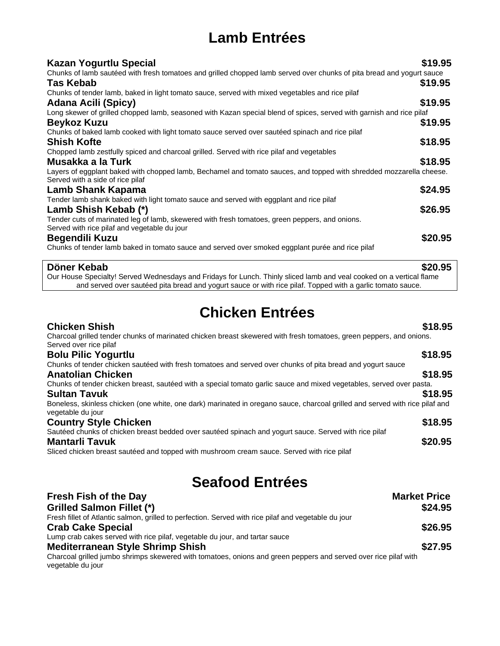# **Lamb Entrées**

| <b>Kazan Yogurtlu Special</b>                                                                                                                                                                                                      | \$19.95 |
|------------------------------------------------------------------------------------------------------------------------------------------------------------------------------------------------------------------------------------|---------|
| Chunks of lamb sautéed with fresh tomatoes and grilled chopped lamb served over chunks of pita bread and yogurt sauce                                                                                                              |         |
| Tas Kebab                                                                                                                                                                                                                          | \$19.95 |
| Chunks of tender lamb, baked in light tomato sauce, served with mixed vegetables and rice pilaf                                                                                                                                    |         |
| <b>Adana Acili (Spicy)</b>                                                                                                                                                                                                         | \$19.95 |
| Long skewer of grilled chopped lamb, seasoned with Kazan special blend of spices, served with garnish and rice pilaf                                                                                                               |         |
| <b>Beykoz Kuzu</b>                                                                                                                                                                                                                 | \$19.95 |
| Chunks of baked lamb cooked with light tomato sauce served over sautéed spinach and rice pilaf                                                                                                                                     |         |
| <b>Shish Kofte</b>                                                                                                                                                                                                                 | \$18.95 |
| Chopped lamb zestfully spiced and charcoal grilled. Served with rice pilaf and vegetables                                                                                                                                          |         |
| Musakka a la Turk                                                                                                                                                                                                                  | \$18.95 |
| Layers of eggplant baked with chopped lamb, Bechamel and tomato sauces, and topped with shredded mozzarella cheese.                                                                                                                |         |
| Served with a side of rice pilaf                                                                                                                                                                                                   |         |
| Lamb Shank Kapama                                                                                                                                                                                                                  | \$24.95 |
| Tender lamb shank baked with light tomato sauce and served with eggplant and rice pilaf                                                                                                                                            |         |
| Lamb Shish Kebab (*)                                                                                                                                                                                                               | \$26.95 |
| Tender cuts of marinated leg of lamb, skewered with fresh tomatoes, green peppers, and onions.                                                                                                                                     |         |
| Served with rice pilaf and vegetable du jour                                                                                                                                                                                       |         |
| <b>Begendili Kuzu</b>                                                                                                                                                                                                              | \$20.95 |
| Chunks of tender lamb baked in tomato sauce and served over smoked eggplant purée and rice pilaf                                                                                                                                   |         |
| Döner Kebab                                                                                                                                                                                                                        | \$20.95 |
| Our House Specialty! Served Wednesdays and Fridays for Lunch. Thinly sliced lamb and veal cooked on a vertical flame<br>and served over sautéed pita bread and yogurt sauce or with rice pilaf. Topped with a garlic tomato sauce. |         |
|                                                                                                                                                                                                                                    |         |

## **Chicken Entrées**

| <b>Chicken Shish</b><br>Charcoal grilled tender chunks of marinated chicken breast skewered with fresh tomatoes, green peppers, and onions.<br>Served over rice pilaf | \$18.95 |
|-----------------------------------------------------------------------------------------------------------------------------------------------------------------------|---------|
| <b>Bolu Pilic Yogurtlu</b>                                                                                                                                            | \$18.95 |
| Chunks of tender chicken sautéed with fresh tomatoes and served over chunks of pita bread and yogurt sauce                                                            |         |
| <b>Anatolian Chicken</b>                                                                                                                                              | \$18.95 |
| Chunks of tender chicken breast, sautéed with a special tomato garlic sauce and mixed vegetables, served over pasta.                                                  |         |
| <b>Sultan Tavuk</b>                                                                                                                                                   | \$18.95 |
| Boneless, skinless chicken (one white, one dark) marinated in oregano sauce, charcoal grilled and served with rice pilaf and<br>vegetable du jour                     |         |
| <b>Country Style Chicken</b>                                                                                                                                          | \$18.95 |
| Sautéed chunks of chicken breast bedded over sautéed spinach and yogurt sauce. Served with rice pilaf                                                                 |         |
| <b>Mantarli Tavuk</b>                                                                                                                                                 | \$20.95 |
| Sliced chicken breast sautéed and topped with mushroom cream sauce. Served with rice pilaf                                                                            |         |

# **Seafood Entrées**

| <b>Fresh Fish of the Day</b>                                                                                                         | <b>Market Price</b> |
|--------------------------------------------------------------------------------------------------------------------------------------|---------------------|
| <b>Grilled Salmon Fillet (*)</b>                                                                                                     | \$24.95             |
| Fresh fillet of Atlantic salmon, grilled to perfection. Served with rice pilaf and vegetable du jour                                 |                     |
| <b>Crab Cake Special</b>                                                                                                             | \$26.95             |
| Lump crab cakes served with rice pilaf, vegetable du jour, and tartar sauce                                                          |                     |
| <b>Mediterranean Style Shrimp Shish</b>                                                                                              | \$27.95             |
| Charcoal grilled jumbo shrimps skewered with tomatoes, onions and green peppers and served over rice pilaf with<br>vegetable du jour |                     |